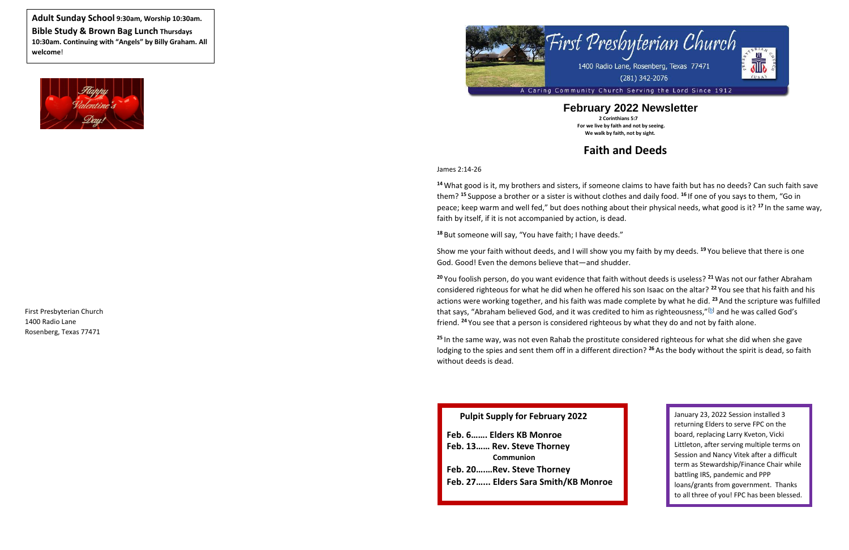



### **February 2022 Newsletter 2 Corinthians 5:7 For we live by faith and not by seeing.**

 **We walk by faith, not by sight.**

# **Faith and Deeds**

James 2:14-26

**<sup>14</sup>** What good is it, my brothers and sisters, if someone claims to have faith but has no deeds? Can such faith save them? **<sup>15</sup>** Suppose a brother or a sister is without clothes and daily food. **<sup>16</sup>** If one of you says to them, "Go in peace; keep warm and well fed," but does nothing about their physical needs, what good is it? **17** In the same way, faith by itself, if it is not accompanied by action, is dead.

**<sup>18</sup>** But someone will say, "You have faith; I have deeds."

Show me your faith without deeds, and I will show you my faith by my deeds. **<sup>19</sup>** You believe that there is one God. Good! Even the demons believe that—and shudder.

<sup>25</sup> In the same way, was not even Rahab the prostitute considered righteous for what she did when she gave lodging to the spies and sent them off in a different direction? **<sup>26</sup>** As the body without the spirit is dead, so faith without deeds is dead.

**<sup>20</sup>** You foolish person, do you want evidence that faith without deeds is useless? **<sup>21</sup>** Was not our father Abraham considered righteous for what he did when he offered his son Isaac on the altar? **<sup>22</sup>** You see that his faith and his actions were working together, and his faith was made complete by what he did. **<sup>23</sup>** And the scripture was fulfilled that says, "Abraham believed God, and it was credited to him as righteousness,"<sup>[\[b\]](https://www.biblegateway.com/passage/?search=james%202:14-26&version=NIV#fen-NIV-30317b)</sup> and he was called God's friend. **<sup>24</sup>** You see that a person is considered righteous by what they do and not by faith alone.

**Adult Sunday School 9:30am, Worship 10:30am. Bible Study & Brown Bag Lunch Thursdays 10:30am. Continuing with "Angels" by Billy Graham. All welcome**!



### **Pulpit Supply for February 2022**

**Feb. 6……. Elders KB Monroe Feb. 13…… Rev. Steve Thorney Communion Feb. 20….…Rev. Steve Thorney Feb. 27…... Elders Sara Smith/KB Monroe** January 23, 2022 Session installed 3 returning Elders to serve FPC on the board, replacing Larry Kveton, Vicki Littleton, after serving multiple terms on Session and Nancy Vitek after a difficult term as Stewardship/Finance Chair while battling IRS, pandemic and PPP loans/grants from government. Thanks to all three of you! FPC has been blessed.